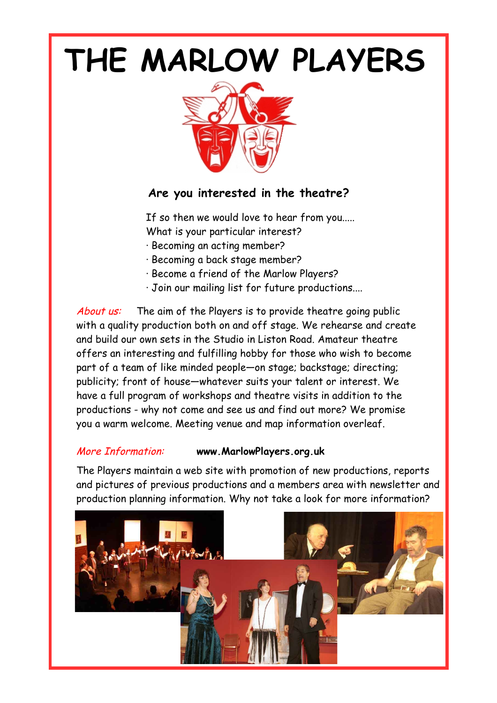## **THE MARLOW PLAYERS**



## **Are you interested in the theatre?**

If so then we would love to hear from you.....

- What is your particular interest?
- · Becoming an acting member?
- · Becoming a back stage member?
- · Become a friend of the Marlow Players?
- · Join our mailing list for future productions....

About us: The aim of the Players is to provide theatre going public with a quality production both on and off stage. We rehearse and create and build our own sets in the Studio in Liston Road. Amateur theatre offers an interesting and fulfilling hobby for those who wish to become part of a team of like minded people—on stage; backstage; directing; publicity; front of house—whatever suits your talent or interest. We have a full program of workshops and theatre visits in addition to the productions - why not come and see us and find out more? We promise you a warm welcome. Meeting venue and map information overleaf.

## More Information: **www.MarlowPlayers.org.uk**

The Players maintain a web site with promotion of new productions, reports and pictures of previous productions and a members area with newsletter and production planning information. Why not take a look for more information?